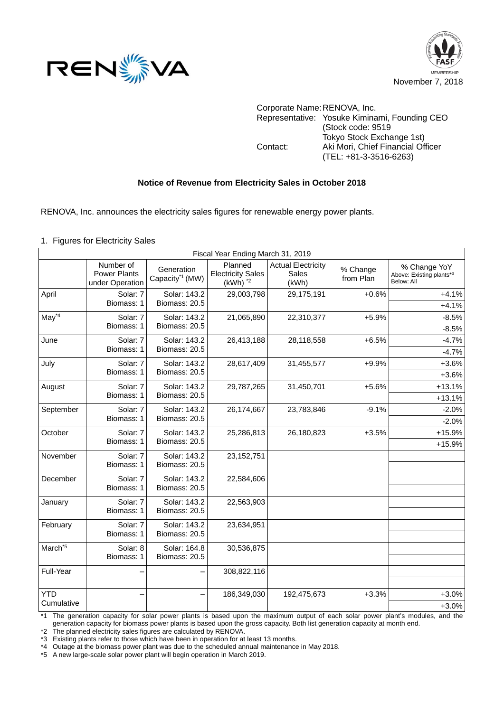



Corporate Name:RENOVA, Inc. Representative: Yosuke Kiminami, Founding CEO (Stock code: 9519 Tokyo Stock Exchange 1st) Contact: Aki Mori, Chief Financial Officer (TEL: +81-3-3516-6263)

## **Notice of Revenue from Electricity Sales in October 2018**

RENOVA, Inc. announces the electricity sales figures for renewable energy power plants.

1. Figures for Electricity Sales

| Fiscal Year Ending March 31, 2019 |                                                     |                                           |                                                     |                                                    |                       |                                                        |  |  |  |  |
|-----------------------------------|-----------------------------------------------------|-------------------------------------------|-----------------------------------------------------|----------------------------------------------------|-----------------------|--------------------------------------------------------|--|--|--|--|
|                                   | Number of<br><b>Power Plants</b><br>under Operation | Generation<br>Capacity <sup>*1</sup> (MW) | Planned<br><b>Electricity Sales</b><br>$(kWh)$ $*2$ | <b>Actual Electricity</b><br><b>Sales</b><br>(kWh) | % Change<br>from Plan | % Change YoY<br>Above: Existing plants*3<br>Below: All |  |  |  |  |
| April                             | Solar: 7<br>Biomass: 1                              | Solar: 143.2<br>Biomass: 20.5             | 29,003,798                                          | 29,175,191                                         | $+0.6%$               | $+4.1%$<br>$+4.1%$                                     |  |  |  |  |
| $May*4$                           | Solar: 7<br>Biomass: 1                              | Solar: 143.2<br>Biomass: 20.5             | 21,065,890                                          | 22,310,377                                         | $+5.9%$               | $-8.5%$<br>$-8.5%$                                     |  |  |  |  |
| June                              | Solar: 7<br>Biomass: 1                              | Solar: 143.2<br>Biomass: 20.5             | 26,413,188                                          | 28,118,558                                         | $+6.5%$               | $-4.7%$<br>$-4.7%$                                     |  |  |  |  |
| July                              | Solar: 7<br>Biomass: 1                              | Solar: 143.2<br>Biomass: 20.5             | 28,617,409                                          | 31,455,577                                         | $+9.9%$               | $+3.6%$<br>$+3.6%$                                     |  |  |  |  |
| August                            | Solar: 7<br>Biomass: 1                              | Solar: 143.2<br>Biomass: 20.5             | 29,787,265                                          | 31,450,701                                         | $+5.6%$               | $+13.1%$<br>$+13.1%$                                   |  |  |  |  |
| September                         | Solar: 7<br>Biomass: 1                              | Solar: 143.2<br>Biomass: 20.5             | 26,174,667                                          | 23,783,846                                         | $-9.1%$               | $-2.0%$<br>$-2.0%$                                     |  |  |  |  |
| October                           | Solar: 7<br>Biomass: 1                              | Solar: 143.2<br>Biomass: 20.5             | 25,286,813                                          | 26,180,823                                         | $+3.5%$               | $+15.9%$<br>+15.9%                                     |  |  |  |  |
| November                          | Solar: 7<br>Biomass: 1                              | Solar: 143.2<br>Biomass: 20.5             | 23, 152, 751                                        |                                                    |                       |                                                        |  |  |  |  |
| December                          | Solar: 7<br>Biomass: 1                              | Solar: 143.2<br>Biomass: 20.5             | 22,584,606                                          |                                                    |                       |                                                        |  |  |  |  |
| January                           | Solar: 7<br>Biomass: 1                              | Solar: 143.2<br>Biomass: 20.5             | 22,563,903                                          |                                                    |                       |                                                        |  |  |  |  |
| February                          | Solar: 7<br>Biomass: 1                              | Solar: 143.2<br>Biomass: 20.5             | 23,634,951                                          |                                                    |                       |                                                        |  |  |  |  |
| March <sup>*5</sup>               | Solar: 8<br>Biomass: 1                              | Solar: 164.8<br>Biomass: 20.5             | 30,536,875                                          |                                                    |                       |                                                        |  |  |  |  |
| Full-Year                         |                                                     |                                           | 308,822,116                                         |                                                    |                       |                                                        |  |  |  |  |
| <b>YTD</b><br>Cumulative          |                                                     |                                           | 186,349,030                                         | 192,475,673                                        | $+3.3%$               | $+3.0%$<br>$+3.0%$                                     |  |  |  |  |

\*1 The generation capacity for solar power plants is based upon the maximum output of each solar power plant's modules, and the generation capacity for biomass power plants is based upon the gross capacity. Both list generation capacity at month end.

\*2 The planned electricity sales figures are calculated by RENOVA.

\*3 Existing plants refer to those which have been in operation for at least 13 months.

\*4 Outage at the biomass power plant was due to the scheduled annual maintenance in May 2018.

\*5 A new large-scale solar power plant will begin operation in March 2019.